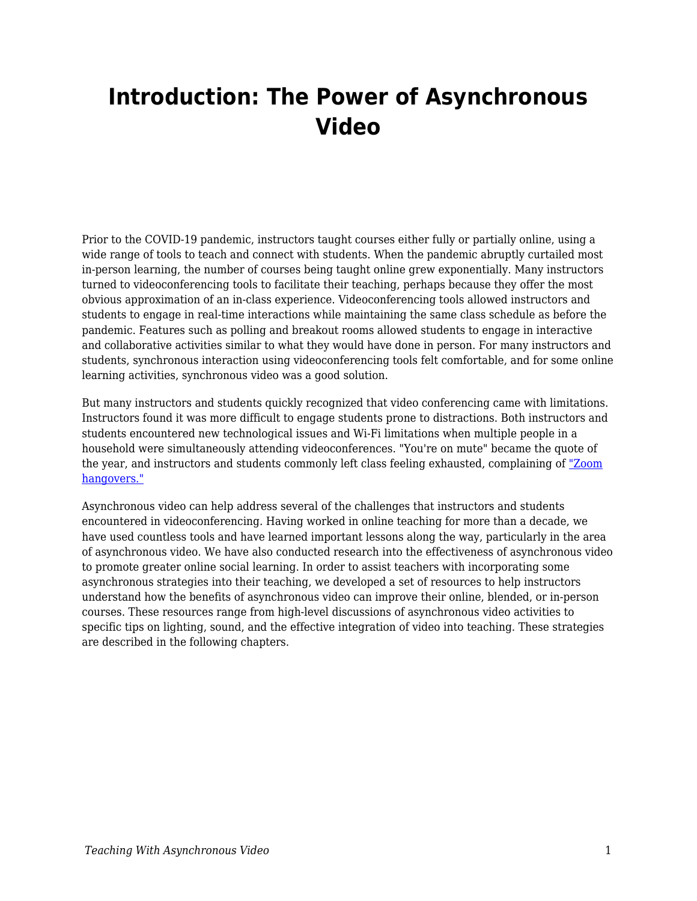## **Introduction: The Power of Asynchronous Video**

Prior to the COVID-19 pandemic, instructors taught courses either fully or partially online, using a wide range of tools to teach and connect with students. When the pandemic abruptly curtailed most in-person learning, the number of courses being taught online grew exponentially. Many instructors turned to videoconferencing tools to facilitate their teaching, perhaps because they offer the most obvious approximation of an in-class experience. Videoconferencing tools allowed instructors and students to engage in real-time interactions while maintaining the same class schedule as before the pandemic. Features such as polling and breakout rooms allowed students to engage in interactive and collaborative activities similar to what they would have done in person. For many instructors and students, synchronous interaction using videoconferencing tools felt comfortable, and for some online learning activities, synchronous video was a good solution.

But many instructors and students quickly recognized that video conferencing came with limitations. Instructors found it was more difficult to engage students prone to distractions. Both instructors and students encountered new technological issues and Wi-Fi limitations when multiple people in a household were simultaneously attending videoconferences. "You're on mute" became the quote of the year, and instructors and students commonly left class feeling exhausted, complaining of ["Zoom](https://www.thecut.com/2020/03/am-i-video-chatting-too-much-coronavirus.html) [hangovers."](https://www.thecut.com/2020/03/am-i-video-chatting-too-much-coronavirus.html)

Asynchronous video can help address several of the challenges that instructors and students encountered in videoconferencing. Having worked in online teaching for more than a decade, we have used countless tools and have learned important lessons along the way, particularly in the area of asynchronous video. We have also conducted research into the effectiveness of asynchronous video to promote greater online social learning. In order to assist teachers with incorporating some asynchronous strategies into their teaching, we developed a set of resources to help instructors understand how the benefits of asynchronous video can improve their online, blended, or in-person courses. These resources range from high-level discussions of asynchronous video activities to specific tips on lighting, sound, and the effective integration of video into teaching. These strategies are described in the following chapters.